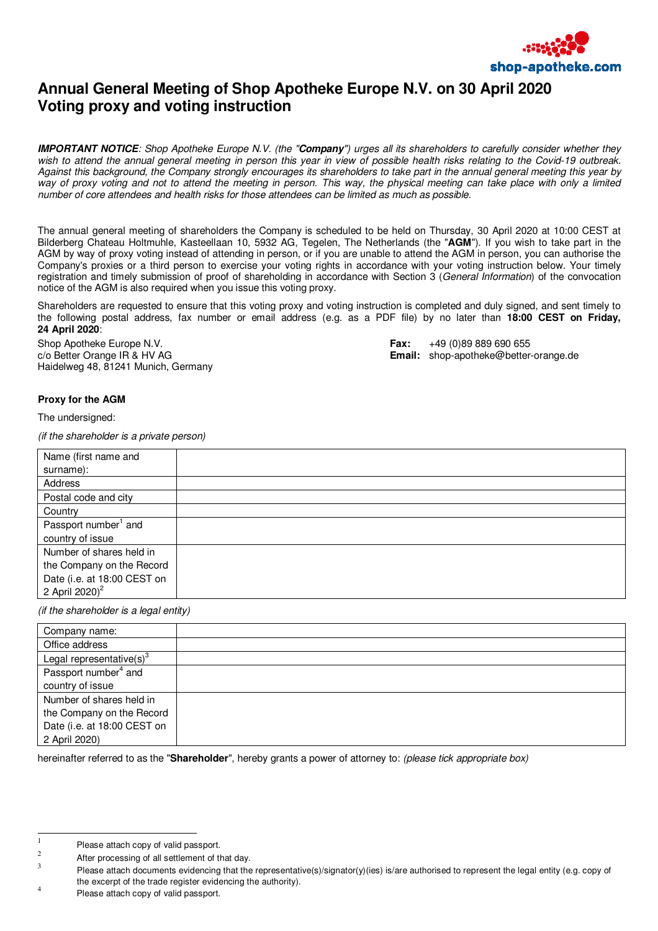

## **Annual General Meeting of Shop Apotheke Europe N.V. on 30 April 2020 Voting proxy and voting instruction**

**IMPORTANT NOTICE***: Shop Apotheke Europe N.V. (the "***Company***") urges all its shareholders to carefully consider whether they wish to attend the annual general meeting in person this year in view of possible health risks relating to the Covid-19 outbreak. Against this background, the Company strongly encourages its shareholders to take part in the annual general meeting this year by way of proxy voting and not to attend the meeting in person. This way, the physical meeting can take place with only a limited number of core attendees and health risks for those attendees can be limited as much as possible.* 

The annual general meeting of shareholders the Company is scheduled to be held on Thursday, 30 April 2020 at 10:00 CEST at Bilderberg Chateau Holtmuhle, Kasteellaan 10, 5932 AG, Tegelen, The Netherlands (the "**AGM**"). If you wish to take part in the AGM by way of proxy voting instead of attending in person, or if you are unable to attend the AGM in person, you can authorise the Company's proxies or a third person to exercise your voting rights in accordance with your voting instruction below. Your timely registration and timely submission of proof of shareholding in accordance with Section 3 (*General Information*) of the convocation notice of the AGM is also required when you issue this voting proxy.

Shareholders are requested to ensure that this voting proxy and voting instruction is completed and duly signed, and sent timely to the following postal address, fax number or email address (e.g. as a PDF file) by no later than **18:00 CEST on Friday, 24 April 2020**:

Shop Apotheke Europe N.V. **Fax:** +49 (0)89 889 690 655 Haidelweg 48, 81241 Munich, Germany

c/o Better Orange IR & HV AG **Email:** shop-apotheke@better-orange.de

## **Proxy for the AGM**

The undersigned:

*(if the shareholder is a private person)* 

| Name (first name and             |  |
|----------------------------------|--|
| surname):                        |  |
| Address                          |  |
| Postal code and city             |  |
| Country                          |  |
| Passport number <sup>1</sup> and |  |
| country of issue                 |  |
| Number of shares held in         |  |
| the Company on the Record        |  |
| Date (i.e. at 18:00 CEST on      |  |
| 2 April 2020) <sup>2</sup>       |  |

*(if the shareholder is a legal entity)* 

| Company name:<br>Office address<br>Legal representative(s) <sup>3</sup><br>Passport number <sup>4</sup> and<br>country of issue<br>Number of shares held in<br>the Company on the Record<br>Date (i.e. at 18:00 CEST on<br>2 April 2020) |  |
|------------------------------------------------------------------------------------------------------------------------------------------------------------------------------------------------------------------------------------------|--|
|                                                                                                                                                                                                                                          |  |
|                                                                                                                                                                                                                                          |  |
|                                                                                                                                                                                                                                          |  |
|                                                                                                                                                                                                                                          |  |
|                                                                                                                                                                                                                                          |  |
|                                                                                                                                                                                                                                          |  |
|                                                                                                                                                                                                                                          |  |
|                                                                                                                                                                                                                                          |  |
|                                                                                                                                                                                                                                          |  |

hereinafter referred to as the "**Shareholder**", hereby grants a power of attorney to: *(please tick appropriate box)* 

l

<sup>1</sup> Please attach copy of valid passport.

<sup>2</sup> After processing of all settlement of that day.

<sup>3</sup> Please attach documents evidencing that the representative(s)/signator(y)(ies) is/are authorised to represent the legal entity (e.g. copy of the excerpt of the trade register evidencing the authority).

<sup>4</sup> Please attach copy of valid passport.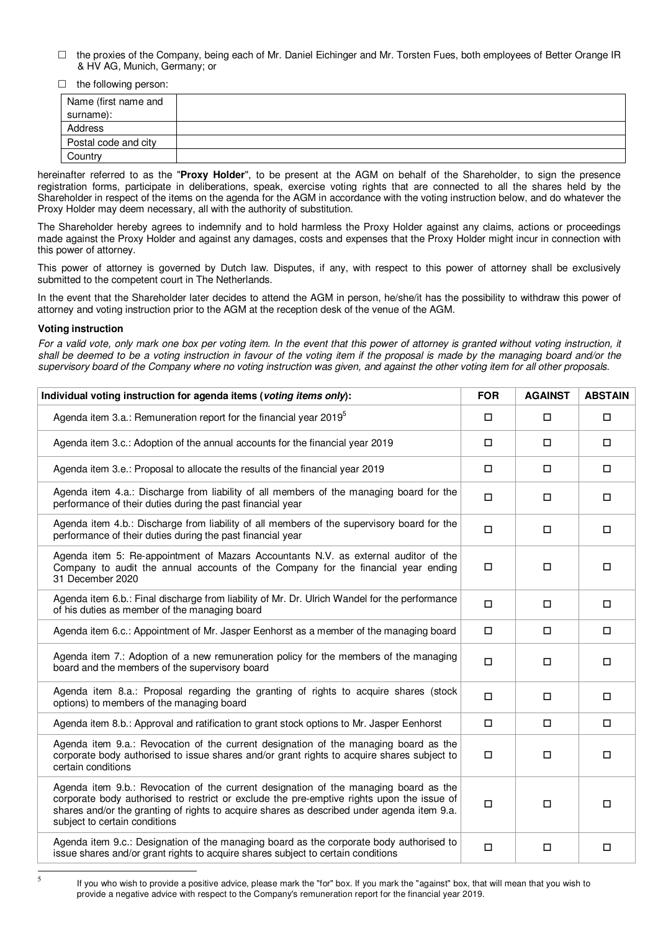- $\Box$  the proxies of the Company, being each of Mr. Daniel Eichinger and Mr. Torsten Fues, both employees of Better Orange IR & HV AG, Munich, Germany; or
- $\Box$  the following person:

| Name (first name and |  |
|----------------------|--|
| surname):            |  |
| Address              |  |
| Postal code and city |  |
| Country              |  |

hereinafter referred to as the "**Proxy Holder**", to be present at the AGM on behalf of the Shareholder, to sign the presence registration forms, participate in deliberations, speak, exercise voting rights that are connected to all the shares held by the Shareholder in respect of the items on the agenda for the AGM in accordance with the voting instruction below, and do whatever the Proxy Holder may deem necessary, all with the authority of substitution.

The Shareholder hereby agrees to indemnify and to hold harmless the Proxy Holder against any claims, actions or proceedings made against the Proxy Holder and against any damages, costs and expenses that the Proxy Holder might incur in connection with this power of attorney.

This power of attorney is governed by Dutch law. Disputes, if any, with respect to this power of attorney shall be exclusively submitted to the competent court in The Netherlands.

In the event that the Shareholder later decides to attend the AGM in person, he/she/it has the possibility to withdraw this power of attorney and voting instruction prior to the AGM at the reception desk of the venue of the AGM.

## **Voting instruction**

*For a valid vote, only mark one box per voting item. In the event that this power of attorney is granted without voting instruction, it*  shall be deemed to be a voting instruction in favour of the voting item if the proposal is made by the managing board and/or the *supervisory board of the Company where no voting instruction was given, and against the other voting item for all other proposals.* 

| Individual voting instruction for agenda items (voting items only):                                                                                                                                                                                                                                              |        | <b>AGAINST</b> | <b>ABSTAIN</b> |
|------------------------------------------------------------------------------------------------------------------------------------------------------------------------------------------------------------------------------------------------------------------------------------------------------------------|--------|----------------|----------------|
| Agenda item 3.a.: Remuneration report for the financial year 2019 <sup>5</sup>                                                                                                                                                                                                                                   |        | $\Box$         | $\Box$         |
| Agenda item 3.c.: Adoption of the annual accounts for the financial year 2019                                                                                                                                                                                                                                    | □      | О              | $\Box$         |
| Agenda item 3.e.: Proposal to allocate the results of the financial year 2019                                                                                                                                                                                                                                    | $\Box$ | $\Box$         | $\Box$         |
| Agenda item 4.a.: Discharge from liability of all members of the managing board for the<br>performance of their duties during the past financial year                                                                                                                                                            |        | □              | □              |
| Agenda item 4.b.: Discharge from liability of all members of the supervisory board for the<br>performance of their duties during the past financial year                                                                                                                                                         |        | $\Box$         | $\Box$         |
| Agenda item 5: Re-appointment of Mazars Accountants N.V. as external auditor of the<br>Company to audit the annual accounts of the Company for the financial year ending<br>31 December 2020                                                                                                                     | $\Box$ | $\Box$         | $\Box$         |
| Agenda item 6.b.: Final discharge from liability of Mr. Dr. Ulrich Wandel for the performance<br>of his duties as member of the managing board                                                                                                                                                                   | $\Box$ | $\Box$         | $\Box$         |
| Agenda item 6.c.: Appointment of Mr. Jasper Eenhorst as a member of the managing board                                                                                                                                                                                                                           |        | □              | $\Box$         |
| Agenda item 7.: Adoption of a new remuneration policy for the members of the managing<br>board and the members of the supervisory board                                                                                                                                                                          |        | $\Box$         | $\Box$         |
| Agenda item 8.a.: Proposal regarding the granting of rights to acquire shares (stock<br>options) to members of the managing board                                                                                                                                                                                |        | $\Box$         | $\Box$         |
| Agenda item 8.b.: Approval and ratification to grant stock options to Mr. Jasper Eenhorst                                                                                                                                                                                                                        |        | $\Box$         | $\Box$         |
| Agenda item 9.a.: Revocation of the current designation of the managing board as the<br>corporate body authorised to issue shares and/or grant rights to acquire shares subject to<br>certain conditions                                                                                                         |        | О              | $\Box$         |
| Agenda item 9.b.: Revocation of the current designation of the managing board as the<br>corporate body authorised to restrict or exclude the pre-emptive rights upon the issue of<br>shares and/or the granting of rights to acquire shares as described under agenda item 9.a.<br>subject to certain conditions |        | $\Box$         | $\Box$         |
| Agenda item 9.c.: Designation of the managing board as the corporate body authorised to<br>issue shares and/or grant rights to acquire shares subject to certain conditions                                                                                                                                      | $\Box$ | $\Box$         | $\Box$         |

If you who wish to provide a positive advice, please mark the "for" box. If you mark the "against" box, that will mean that you wish to provide a negative advice with respect to the Company's remuneration report for the financial year 2019.